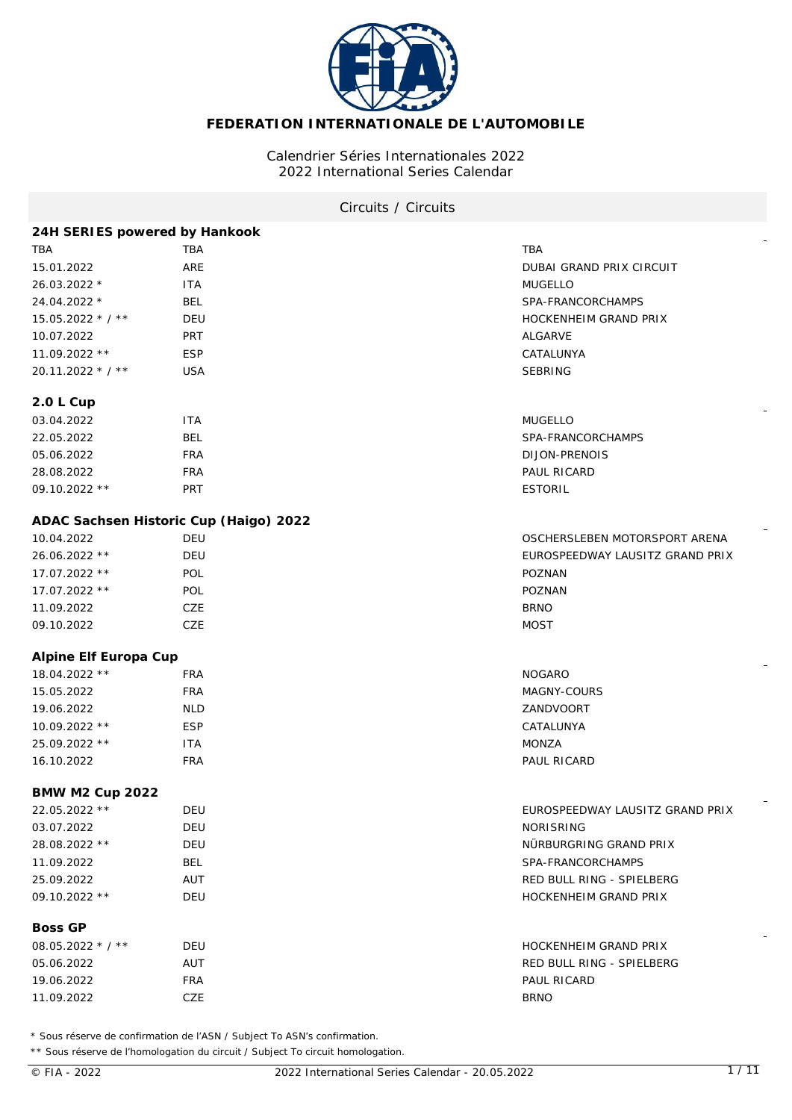

# **FEDERATION INTERNATIONALE DE L'AUTOMOBILE**

# Calendrier Séries Internationales 2022 2022 International Series Calendar

# Circuits / Circuits

| 24H SERIES powered by Hankook          |            |                                 |
|----------------------------------------|------------|---------------------------------|
| TBA                                    | <b>TBA</b> | TBA                             |
| 15.01.2022                             | ARE        | <b>DUBAI GRAND PRIX CIRCUIT</b> |
| 26.03.2022 *                           | <b>ITA</b> | <b>MUGELLO</b>                  |
| 24.04.2022 *                           | <b>BEL</b> | SPA-FRANCORCHAMPS               |
| 15.05.2022 * / **                      | DEU        | HOCKENHEIM GRAND PRIX           |
| 10.07.2022                             | <b>PRT</b> | ALGARVE                         |
| 11.09.2022 **                          | <b>ESP</b> | CATALUNYA                       |
| 20.11.2022 * / **                      | <b>USA</b> | <b>SEBRING</b>                  |
| 2.0 L Cup                              |            |                                 |
| 03.04.2022                             | <b>ITA</b> | <b>MUGELLO</b>                  |
| 22.05.2022                             | <b>BEL</b> | SPA-FRANCORCHAMPS               |
| 05.06.2022                             | <b>FRA</b> | DIJON-PRENOIS                   |
| 28.08.2022                             | <b>FRA</b> | PAUL RICARD                     |
| 09.10.2022 **                          | PRT        | <b>ESTORIL</b>                  |
| ADAC Sachsen Historic Cup (Haigo) 2022 |            |                                 |
| 10.04.2022                             | DEU        | OSCHERSLEBEN MOTORSPORT ARENA   |
| 26.06.2022 **                          | DEU        | EUROSPEEDWAY LAUSITZ GRAND PRIX |
| 17.07.2022 **                          | POL        | POZNAN                          |
| 17.07.2022 **                          | POL        | POZNAN                          |
| 11.09.2022                             | CZE        | <b>BRNO</b>                     |
| 09.10.2022                             | CZE        | <b>MOST</b>                     |
|                                        |            |                                 |
| Alpine Elf Europa Cup                  |            |                                 |
| 18.04.2022 **                          | <b>FRA</b> | <b>NOGARO</b>                   |
| 15.05.2022                             | <b>FRA</b> | MAGNY-COURS                     |
| 19.06.2022                             | <b>NLD</b> | ZANDVOORT                       |
| 10.09.2022 **                          | <b>ESP</b> | CATALUNYA                       |
| 25.09.2022 **                          | <b>ITA</b> | <b>MONZA</b>                    |
| 16.10.2022                             | <b>FRA</b> | PAUL RICARD                     |
| <b>BMW M2 Cup 2022</b>                 |            |                                 |
| 22.05.2022 **                          | DEU        | EUROSPEEDWAY LAUSITZ GRAND PRIX |
| 03.07.2022                             | DEU        | <b>NORISRING</b>                |
| 28.08.2022 **                          | DEU        | NÜRBURGRING GRAND PRIX          |
| 11.09.2022                             | <b>BEL</b> | SPA-FRANCORCHAMPS               |
| 25.09.2022                             | AUT        | RED BULL RING - SPIELBERG       |
| 09.10.2022 **                          | <b>DEU</b> | HOCKENHEIM GRAND PRIX           |
| <b>Boss GP</b>                         |            |                                 |
| 08.05.2022 * / **                      | DEU        | HOCKENHEIM GRAND PRIX           |
| 05.06.2022                             | AUT        | RED BULL RING - SPIELBERG       |
| 19.06.2022                             | <b>FRA</b> | PAUL RICARD                     |

\* Sous réserve de confirmation de l'ASN / Subject To ASN's confirmation.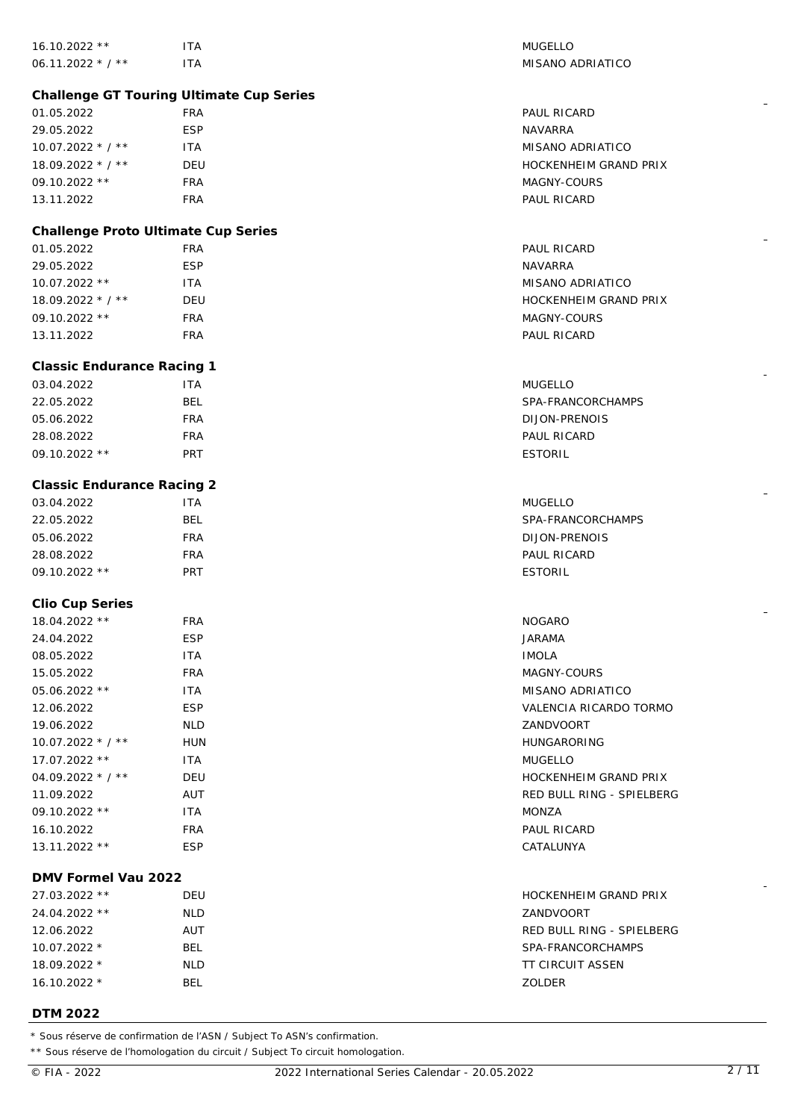| 16.10.2022 **                            | <b>ITA</b> | <b>MUGELLO</b>               |  |  |
|------------------------------------------|------------|------------------------------|--|--|
| 06.11.2022 * / **                        | <b>ITA</b> | MISANO ADRIATICO             |  |  |
|                                          |            |                              |  |  |
| Challenge GT Touring Ultimate Cup Series |            |                              |  |  |
| 01.05.2022                               | <b>FRA</b> | PAUL RICARD                  |  |  |
| 29.05.2022                               | <b>ESP</b> | <b>NAVARRA</b>               |  |  |
| 10.07.2022 * / **                        | ITA        | MISANO ADRIATICO             |  |  |
| 18.09.2022 * / **                        | DEU        | HOCKENHEIM GRAND PRIX        |  |  |
| 09.10.2022 **                            | <b>FRA</b> | MAGNY-COURS                  |  |  |
| 13.11.2022                               | <b>FRA</b> | PAUL RICARD                  |  |  |
|                                          |            |                              |  |  |
| Challenge Proto Ultimate Cup Series      |            |                              |  |  |
| 01.05.2022                               | <b>FRA</b> | PAUL RICARD                  |  |  |
| 29.05.2022                               | <b>ESP</b> | <b>NAVARRA</b>               |  |  |
| 10.07.2022 **                            | <b>ITA</b> | MISANO ADRIATICO             |  |  |
| 18.09.2022 * / **                        | DEU        | HOCKENHEIM GRAND PRIX        |  |  |
| 09.10.2022 **                            | <b>FRA</b> | MAGNY-COURS                  |  |  |
| 13.11.2022                               | <b>FRA</b> | PAUL RICARD                  |  |  |
| <b>Classic Endurance Racing 1</b>        |            |                              |  |  |
| 03.04.2022                               | <b>ITA</b> | <b>MUGELLO</b>               |  |  |
| 22.05.2022                               | <b>BEL</b> | SPA-FRANCORCHAMPS            |  |  |
| 05.06.2022                               | <b>FRA</b> | <b>DIJON-PRENOIS</b>         |  |  |
| 28.08.2022                               | <b>FRA</b> | PAUL RICARD                  |  |  |
| 09.10.2022 **                            | PRT        | <b>ESTORIL</b>               |  |  |
|                                          |            |                              |  |  |
| <b>Classic Endurance Racing 2</b>        |            |                              |  |  |
| 03.04.2022                               | <b>ITA</b> | <b>MUGELLO</b>               |  |  |
| 22.05.2022                               | <b>BEL</b> | SPA-FRANCORCHAMPS            |  |  |
| 05.06.2022                               | <b>FRA</b> | DIJON-PRENOIS                |  |  |
| 28.08.2022                               | <b>FRA</b> | PAUL RICARD                  |  |  |
| 09.10.2022 **                            | PRT        | <b>ESTORIL</b>               |  |  |
|                                          |            |                              |  |  |
| Clio Cup Series                          |            |                              |  |  |
| 18.04.2022 **                            | <b>FRA</b> | <b>NOGARO</b>                |  |  |
| 24.04.2022                               | <b>ESP</b> | JARAMA                       |  |  |
| 08.05.2022                               | <b>ITA</b> | <b>IMOLA</b>                 |  |  |
| 15.05.2022                               | <b>FRA</b> | MAGNY-COURS                  |  |  |
| 05.06.2022 **                            | <b>ITA</b> | MISANO ADRIATICO             |  |  |
| 12.06.2022                               | <b>ESP</b> | VALENCIA RICARDO TORMO       |  |  |
| 19.06.2022                               | <b>NLD</b> | ZANDVOORT                    |  |  |
| $10.07.2022 * 7 *$                       | HUN        | <b>HUNGARORING</b>           |  |  |
| 17.07.2022 **                            | ITA.       | <b>MUGELLO</b>               |  |  |
| 04.09.2022 $*/$ * $*$                    | DEU        | HOCKENHEIM GRAND PRIX        |  |  |
| 11.09.2022                               | AUT        | RED BULL RING - SPIELBERG    |  |  |
| 09.10.2022 **                            | ITA.       | MONZA                        |  |  |
| 16.10.2022                               | <b>FRA</b> | PAUL RICARD                  |  |  |
| 13.11.2022 **                            | <b>ESP</b> | CATALUNYA                    |  |  |
|                                          |            |                              |  |  |
| DMV Formel Vau 2022                      |            |                              |  |  |
| 27.03.2022 **                            | DEU        | <b>HOCKENHEIM GRAND PRIX</b> |  |  |
| 24.04.2022 **                            | <b>NLD</b> | ZANDVOORT                    |  |  |
| 12.06.2022                               | AUT        | RED BULL RING - SPIELBERG    |  |  |
| 10.07.2022 *                             |            |                              |  |  |
|                                          | <b>BEL</b> | SPA-FRANCORCHAMPS            |  |  |
| 18.09.2022 *                             | <b>NLD</b> | <b>TT CIRCUIT ASSEN</b>      |  |  |
| 16.10.2022 *                             | <b>BEL</b> | ZOLDER                       |  |  |

## **DTM 2022**

\* Sous réserve de confirmation de l'ASN / Subject To ASN's confirmation.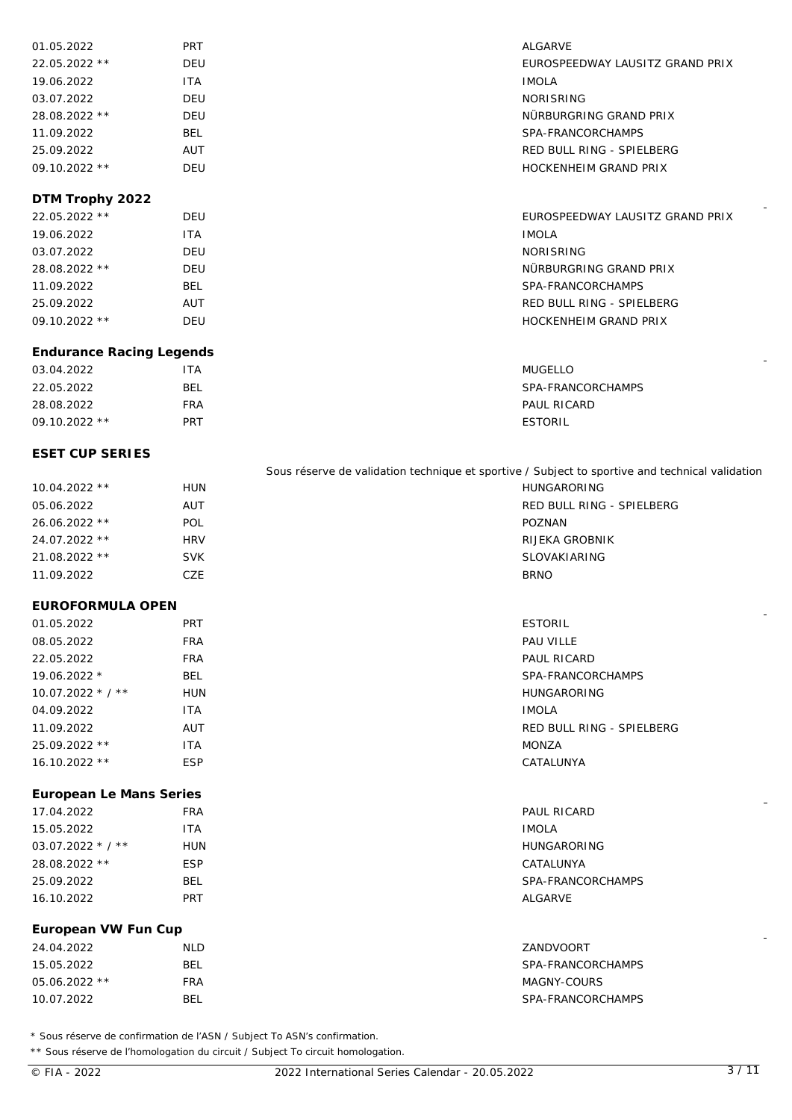| 01.05.2022      | <b>PRT</b> | <b>ALGARVE</b>                  |
|-----------------|------------|---------------------------------|
| 22.05.2022 **   | DEU        | EUROSPEEDWAY LAUSITZ GRAND PRIX |
| 19.06.2022      | <b>ITA</b> | <b>IMOLA</b>                    |
| 03.07.2022      | DEU        | <b>NORISRING</b>                |
| 28.08.2022 **   | DEU        | NÜRBURGRING GRAND PRIX          |
| 11.09.2022      | <b>BEL</b> | SPA-FRANCORCHAMPS               |
| 25.09.2022      | AUT        | RED BULL RING - SPIELBERG       |
| $09.10.2022$ ** | DEU        | HOCKENHEIM GRAND PRIX           |

# **DTM Trophy 2022**

| 22.05.2022 **   | DEU  | EUROSPEEDWAY LAUSITZ GRAND PRIX |
|-----------------|------|---------------------------------|
| 19.06.2022      | ITA. | <b>IMOLA</b>                    |
| 03.07.2022      | DEU  | <b>NORISRING</b>                |
| 28.08.2022 **   | DEU  | NÜRBURGRING GRAND PRIX          |
| 11.09.2022      | BEL  | SPA-FRANCORCHAMPS               |
| 25.09.2022      | AUT  | RED BULL RING - SPIELBERG       |
| $09.10.2022$ ** | DEU  | <b>HOCKENHEIM GRAND PRIX</b>    |

## **Endurance Racing Legends**

| 03.04.2022      | ITA | <b>MUGELLO</b>    |
|-----------------|-----|-------------------|
| 22.05.2022      | BEL | SPA-FRANCORCHAMPS |
| 28.08.2022      | FRA | PAUL RICARD       |
| $09.10.2022$ ** | PRT | <b>ESTORIL</b>    |

# **ESET CUP SERIES**

|                 |            | Sous réserve de validation technique et sportive / Subject to sportive and technical validation |
|-----------------|------------|-------------------------------------------------------------------------------------------------|
| $10.04.2022$ ** | HUN        | HUNGARORING                                                                                     |
| 05.06.2022      | AUT        | RED BULL RING - SPIELBERG                                                                       |
| $26.06.2022$ ** | <b>POL</b> | POZNAN                                                                                          |
| $24.07.2022$ ** | <b>HRV</b> | RIJEKA GROBNIK                                                                                  |
| $21.08.2022$ ** | <b>SVK</b> | SLOVAKIARING                                                                                    |
| 11.09.2022      | CZE        | <b>BRNO</b>                                                                                     |

#### **EUROFORMULA OPEN**

| 01.05.2022         | <b>PRT</b> | <b>ESTORIL</b>            |
|--------------------|------------|---------------------------|
| 08.05.2022         | <b>FRA</b> | PAU VILLE                 |
| 22.05.2022         | <b>FRA</b> | PAUL RICARD               |
| $19.06.2022*$      | <b>BEL</b> | SPA-FRANCORCHAMPS         |
| $10.07.2022 * 7 *$ | <b>HUN</b> | <b>HUNGARORING</b>        |
| 04.09.2022         | <b>ITA</b> | <b>IMOLA</b>              |
| 11.09.2022         | <b>AUT</b> | RED BULL RING - SPIELBERG |
| 25.09.2022 **      | ITA        | <b>MONZA</b>              |
| $16.10.2022**$     | <b>ESP</b> | CATALUNYA                 |
|                    |            |                           |

### **European Le Mans Series**

| 17.04.2022          | <b>FRA</b> | <b>PAUL RICARD</b> |
|---------------------|------------|--------------------|
| 15.05.2022          | <b>ITA</b> | <b>IMOLA</b>       |
| $03.07.2022$ * / ** | <b>HUN</b> | <b>HUNGARORING</b> |
| 28.08.2022 **       | <b>ESP</b> | CATALUNYA          |
| 25.09.2022          | BEL        | SPA-FRANCORCHAMPS  |
| 16.10.2022          | <b>PRT</b> | ALGARVE            |
|                     |            |                    |

## **European VW Fun Cup**

| 24.04.2022    | <b>NLD</b> | ZANDVOORT         |
|---------------|------------|-------------------|
| 15.05.2022    | BEL        | SPA-FRANCORCHAMPS |
| 05.06.2022 ** | FRA        | MAGNY-COURS       |
| 10.07.2022    | BEL        | SPA-FRANCORCHAMPS |

\* Sous réserve de confirmation de l'ASN / Subject To ASN's confirmation.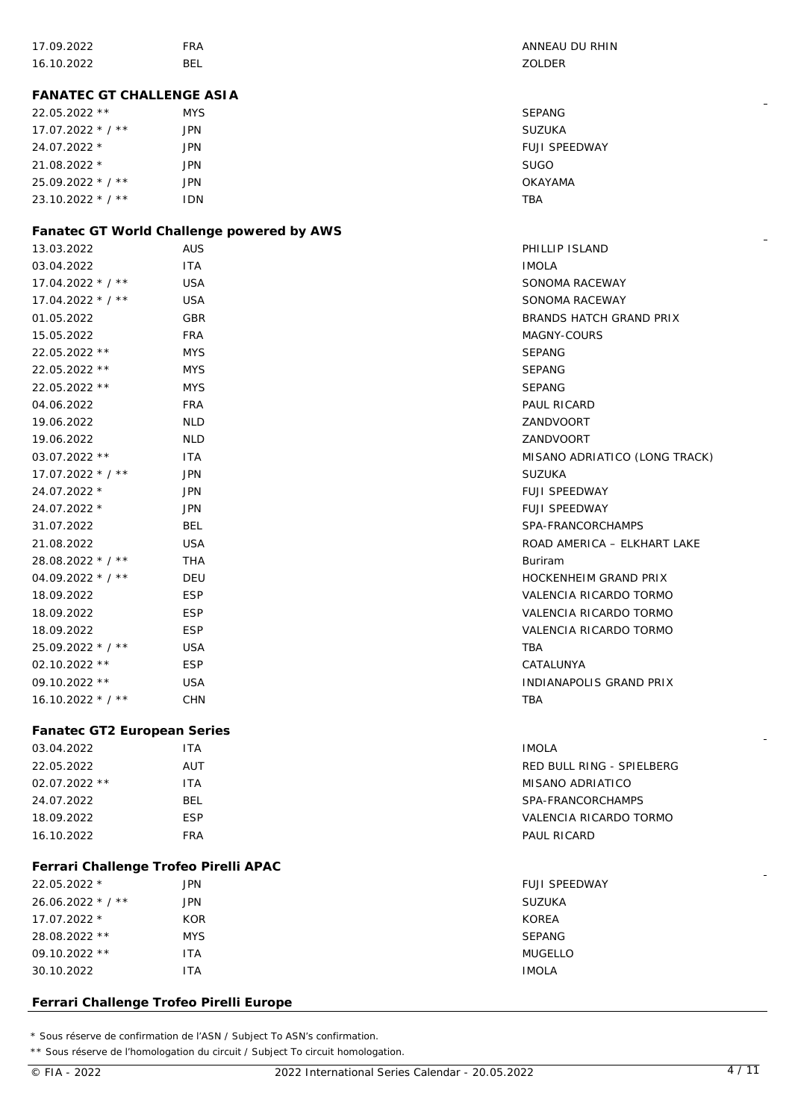| 17.09.2022                              | <b>FRA</b>                                              | ANNEAU DU RHIN                               |  |
|-----------------------------------------|---------------------------------------------------------|----------------------------------------------|--|
| 16.10.2022                              | <b>BEL</b>                                              | ZOLDER                                       |  |
|                                         |                                                         |                                              |  |
| FANATEC GT CHALLENGE ASIA               |                                                         |                                              |  |
| 22.05.2022 **                           | <b>MYS</b>                                              | <b>SEPANG</b>                                |  |
| $17.07.2022 * 7 *$                      | <b>JPN</b>                                              | <b>SUZUKA</b>                                |  |
| 24.07.2022 *                            | <b>JPN</b>                                              | FUJI SPEEDWAY                                |  |
| 21.08.2022 *                            | <b>JPN</b>                                              | <b>SUGO</b>                                  |  |
| 25.09.2022 * / **                       | <b>JPN</b>                                              | <b>OKAYAMA</b>                               |  |
| 23.10.2022 * / **                       | IDN                                                     | <b>TBA</b>                                   |  |
|                                         |                                                         |                                              |  |
| 13.03.2022                              | Fanatec GT World Challenge powered by AWS<br><b>AUS</b> | PHILLIP ISLAND                               |  |
| 03.04.2022                              | <b>ITA</b>                                              | <b>IMOLA</b>                                 |  |
| $17.04.2022 * 7 *$                      | <b>USA</b>                                              | SONOMA RACEWAY                               |  |
| $17.04.2022 * 7 *$                      | <b>USA</b>                                              | SONOMA RACEWAY                               |  |
| 01.05.2022                              | GBR                                                     | BRANDS HATCH GRAND PRIX                      |  |
| 15.05.2022                              | <b>FRA</b>                                              | MAGNY-COURS                                  |  |
| 22.05.2022 **                           | <b>MYS</b>                                              | <b>SEPANG</b>                                |  |
| 22.05.2022 **                           |                                                         | <b>SEPANG</b>                                |  |
| 22.05.2022 **                           | <b>MYS</b>                                              | <b>SEPANG</b>                                |  |
|                                         | <b>MYS</b>                                              |                                              |  |
| 04.06.2022                              | <b>FRA</b>                                              | PAUL RICARD                                  |  |
| 19.06.2022                              | <b>NLD</b>                                              | ZANDVOORT<br>ZANDVOORT                       |  |
| 19.06.2022<br>03.07.2022 **             | <b>NLD</b>                                              |                                              |  |
|                                         | <b>ITA</b>                                              | MISANO ADRIATICO (LONG TRACK)                |  |
| $17.07.2022 * 7 *$                      | <b>JPN</b>                                              | <b>SUZUKA</b>                                |  |
| 24.07.2022 *<br>24.07.2022 *            | <b>JPN</b><br><b>JPN</b>                                | <b>FUJI SPEEDWAY</b><br><b>FUJI SPEEDWAY</b> |  |
| 31.07.2022                              | <b>BEL</b>                                              | SPA-FRANCORCHAMPS                            |  |
| 21.08.2022                              | <b>USA</b>                                              | ROAD AMERICA - ELKHART LAKE                  |  |
| 28.08.2022 * / **                       | THA                                                     | <b>Buriram</b>                               |  |
| 04.09.2022 * / **                       | DEU                                                     | <b>HOCKENHEIM GRAND PRIX</b>                 |  |
| 18.09.2022                              | <b>ESP</b>                                              | VALENCIA RICARDO TORMO                       |  |
| 18.09.2022                              | <b>ESP</b>                                              | VALENCIA RICARDO TORMO                       |  |
| 18.09.2022                              | <b>ESP</b>                                              | VALENCIA RICARDO TORMO                       |  |
| 25.09.2022 * / **                       | <b>USA</b>                                              | <b>TBA</b>                                   |  |
| 02.10.2022 **                           | <b>ESP</b>                                              | CATALUNYA                                    |  |
| 09.10.2022 **                           | <b>USA</b>                                              | INDIANAPOLIS GRAND PRIX                      |  |
| 16.10.2022 * / **                       | <b>CHN</b>                                              | <b>TBA</b>                                   |  |
|                                         |                                                         |                                              |  |
| Fanatec GT2 European Series             |                                                         |                                              |  |
| 03.04.2022                              | <b>ITA</b>                                              | <b>IMOLA</b>                                 |  |
| 22.05.2022                              | AUT                                                     | RED BULL RING - SPIELBERG                    |  |
| 02.07.2022 **                           | <b>ITA</b>                                              | <b>MISANO ADRIATICO</b>                      |  |
| 24.07.2022                              | <b>BEL</b>                                              | SPA-FRANCORCHAMPS                            |  |
| 18.09.2022                              | <b>ESP</b>                                              | VALENCIA RICARDO TORMO                       |  |
| 16.10.2022                              | <b>FRA</b>                                              | PAUL RICARD                                  |  |
|                                         |                                                         |                                              |  |
| Ferrari Challenge Trofeo Pirelli APAC   |                                                         |                                              |  |
| 22.05.2022 *                            | <b>JPN</b>                                              | <b>FUJI SPEEDWAY</b>                         |  |
| 26.06.2022 * / **                       | <b>JPN</b>                                              | SUZUKA                                       |  |
| 17.07.2022 *                            | <b>KOR</b>                                              | <b>KOREA</b>                                 |  |
| 28.08.2022 **                           | <b>MYS</b>                                              | <b>SEPANG</b>                                |  |
| 09.10.2022 **                           | <b>ITA</b>                                              | <b>MUGELLO</b>                               |  |
| 30.10.2022                              | <b>ITA</b>                                              | <b>IMOLA</b>                                 |  |
|                                         |                                                         |                                              |  |
| Ferrari Challenge Trofeo Pirelli Europe |                                                         |                                              |  |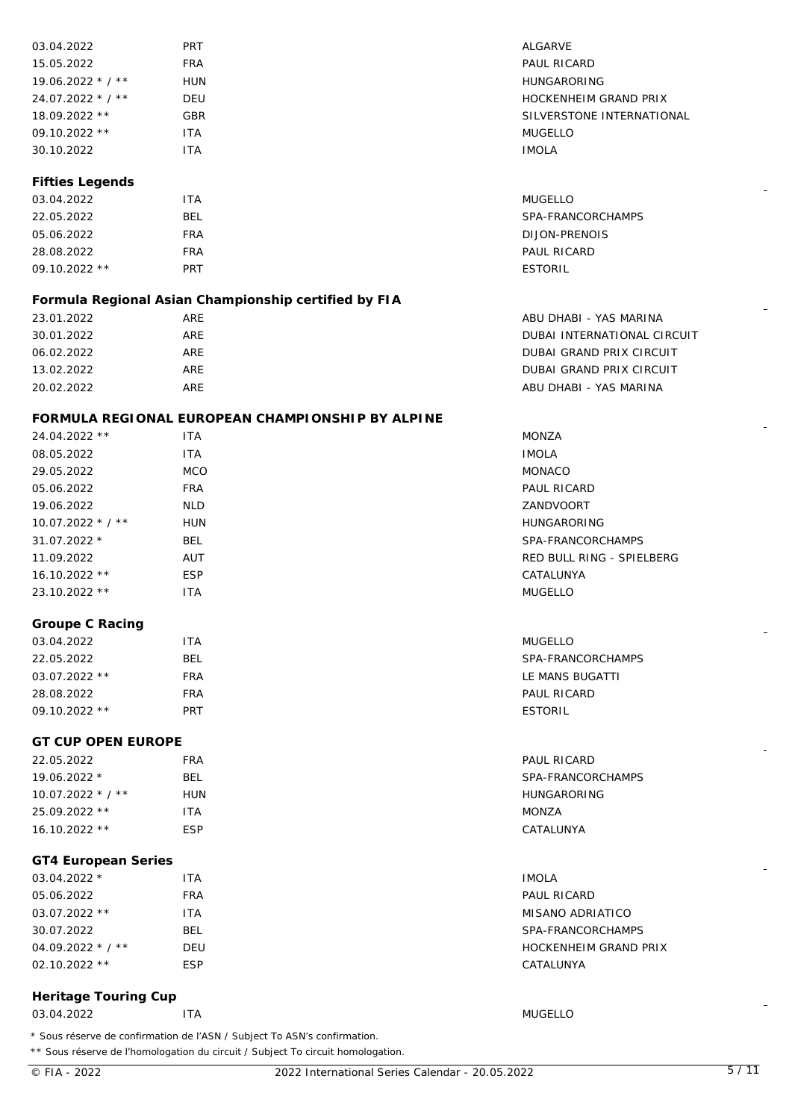| 03.04.2022                | <b>PRT</b>                                                               | ALGARVE                     |
|---------------------------|--------------------------------------------------------------------------|-----------------------------|
| 15.05.2022                | <b>FRA</b>                                                               | PAUL RICARD                 |
| 19.06.2022 * / **         | <b>HUN</b>                                                               | <b>HUNGARORING</b>          |
| 24.07.2022 * / **         | DEU                                                                      | HOCKENHEIM GRAND PRIX       |
| 18.09.2022 **             | <b>GBR</b>                                                               | SILVERSTONE INTERNATIONAL   |
| 09.10.2022 **             | <b>ITA</b>                                                               | <b>MUGELLO</b>              |
| 30.10.2022                | <b>ITA</b>                                                               | <b>IMOLA</b>                |
| Fifties Legends           |                                                                          |                             |
| 03.04.2022                | <b>ITA</b>                                                               | <b>MUGELLO</b>              |
| 22.05.2022                | <b>BEL</b>                                                               | SPA-FRANCORCHAMPS           |
| 05.06.2022                | <b>FRA</b>                                                               | DIJON-PRENOIS               |
| 28.08.2022                | <b>FRA</b>                                                               | PAUL RICARD                 |
| 09.10.2022 **             | PRT                                                                      | <b>ESTORIL</b>              |
|                           | Formula Regional Asian Championship certified by FIA                     |                             |
| 23.01.2022                | ARE                                                                      | ABU DHABI - YAS MARINA      |
| 30.01.2022                | ARE                                                                      | DUBAI INTERNATIONAL CIRCUIT |
| 06.02.2022                | ARE                                                                      | DUBAI GRAND PRIX CIRCUIT    |
| 13.02.2022                | ARE                                                                      | DUBAI GRAND PRIX CIRCUIT    |
| 20.02.2022                | ARE                                                                      | ABU DHABI - YAS MARINA      |
|                           | FORMULA REGIONAL EUROPEAN CHAMPIONSHIP BY ALPINE                         |                             |
| 24.04.2022 **             | <b>ITA</b>                                                               | <b>MONZA</b>                |
| 08.05.2022                | <b>ITA</b>                                                               | <b>IMOLA</b>                |
|                           |                                                                          |                             |
| 29.05.2022                | <b>MCO</b>                                                               | <b>MONACO</b>               |
| 05.06.2022                | <b>FRA</b>                                                               | PAUL RICARD                 |
| 19.06.2022                | <b>NLD</b>                                                               | ZANDVOORT                   |
| $10.07.2022 * / **$       | <b>HUN</b>                                                               | <b>HUNGARORING</b>          |
| 31.07.2022 *              | <b>BEL</b>                                                               | SPA-FRANCORCHAMPS           |
| 11.09.2022                | AUT                                                                      | RED BULL RING - SPIELBERG   |
| 16.10.2022 **             | <b>ESP</b>                                                               | CATALUNYA                   |
| 23.10.2022 **             | <b>ITA</b>                                                               | <b>MUGELLO</b>              |
| Groupe C Racing           |                                                                          |                             |
| 03.04.2022                | <b>ITA</b>                                                               | <b>MUGELLO</b>              |
| 22.05.2022                | <b>BEL</b>                                                               | SPA-FRANCORCHAMPS           |
| 03.07.2022 **             | <b>FRA</b>                                                               | LE MANS BUGATTI             |
| 28.08.2022                | <b>FRA</b>                                                               | PAUL RICARD                 |
| 09.10.2022 **             | PRT                                                                      | <b>ESTORIL</b>              |
| <b>GT CUP OPEN EUROPE</b> |                                                                          |                             |
| 22.05.2022                | <b>FRA</b>                                                               | PAUL RICARD                 |
| 19.06.2022 *              | <b>BEL</b>                                                               | SPA-FRANCORCHAMPS           |
| $10.07.2022$ * / **       | <b>HUN</b>                                                               | <b>HUNGARORING</b>          |
| 25.09.2022 **             | <b>ITA</b>                                                               | MONZA                       |
| 16.10.2022 **             | <b>ESP</b>                                                               | CATALUNYA                   |
| GT4 European Series       |                                                                          |                             |
| 03.04.2022 *              | <b>ITA</b>                                                               | <b>IMOLA</b>                |
| 05.06.2022                | <b>FRA</b>                                                               | PAUL RICARD                 |
| 03.07.2022 **             | <b>ITA</b>                                                               | MISANO ADRIATICO            |
| 30.07.2022                | <b>BEL</b>                                                               | SPA-FRANCORCHAMPS           |
| 04.09.2022 * / **         | DEU                                                                      | HOCKENHEIM GRAND PRIX       |
| 02.10.2022 **             | <b>ESP</b>                                                               | CATALUNYA                   |
|                           |                                                                          |                             |
| Heritage Touring Cup      |                                                                          |                             |
| 03.04.2022                | <b>ITA</b>                                                               | <b>MUGELLO</b>              |
|                           | * Sous réserve de confirmation de l'ASN / Subject To ASN's confirmation. |                             |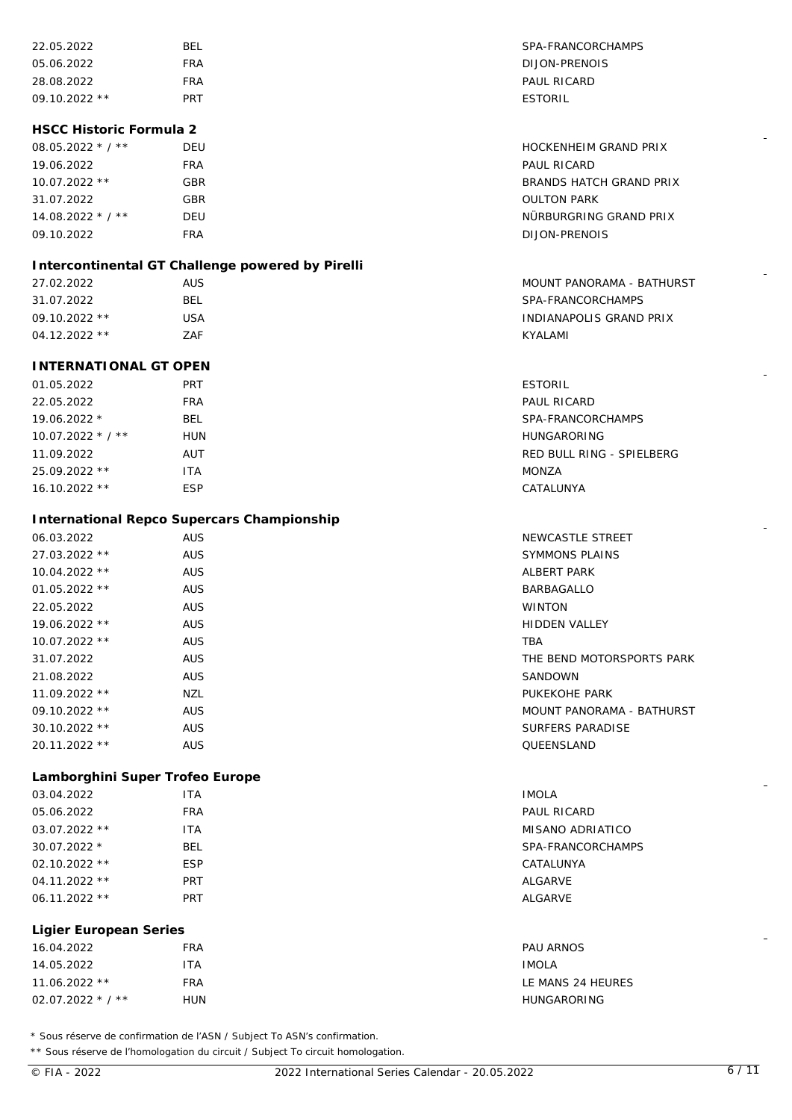| 22.05.2022                      | <b>BEL</b>                                       | SPA-FRANCORCHAMPS         |
|---------------------------------|--------------------------------------------------|---------------------------|
| 05.06.2022                      | <b>FRA</b>                                       | DIJON-PRENOIS             |
| 28.08.2022                      | <b>FRA</b>                                       | PAUL RICARD               |
| 09.10.2022 **                   | <b>PRT</b>                                       | <b>ESTORIL</b>            |
|                                 |                                                  |                           |
| <b>HSCC Historic Formula 2</b>  |                                                  |                           |
| 08.05.2022 * / **               | DEU                                              | HOCKENHEIM GRAND PRIX     |
| 19.06.2022                      | <b>FRA</b>                                       | PAUL RICARD               |
| 10.07.2022 **                   | <b>GBR</b>                                       | BRANDS HATCH GRAND PRIX   |
| 31.07.2022                      | GBR                                              | <b>OULTON PARK</b>        |
| 14.08.2022 * / **               | DEU                                              | NÜRBURGRING GRAND PRIX    |
| 09.10.2022                      | <b>FRA</b>                                       | DIJON-PRENOIS             |
|                                 | Intercontinental GT Challenge powered by Pirelli |                           |
| 27.02.2022                      | <b>AUS</b>                                       | MOUNT PANORAMA - BATHURST |
| 31.07.2022                      | <b>BEL</b>                                       | SPA-FRANCORCHAMPS         |
| 09.10.2022 **                   | <b>USA</b>                                       | INDIANAPOLIS GRAND PRIX   |
| 04.12.2022 **                   | ZAF                                              | KYALAMI                   |
|                                 |                                                  |                           |
| <b>INTERNATIONAL GT OPEN</b>    |                                                  |                           |
| 01.05.2022                      | <b>PRT</b>                                       | <b>ESTORIL</b>            |
| 22.05.2022                      | <b>FRA</b>                                       | PAUL RICARD               |
| 19.06.2022 *                    | <b>BEL</b>                                       | SPA-FRANCORCHAMPS         |
| $10.07.2022$ * / **             | <b>HUN</b>                                       | <b>HUNGARORING</b>        |
| 11.09.2022                      | AUT                                              | RED BULL RING - SPIELBERG |
| 25.09.2022 **                   | <b>ITA</b>                                       | <b>MONZA</b>              |
| 16.10.2022 **                   | <b>ESP</b>                                       | CATALUNYA                 |
|                                 | International Repco Supercars Championship       |                           |
| 06.03.2022                      | <b>AUS</b>                                       | NEWCASTLE STREET          |
| 27.03.2022 **                   | <b>AUS</b>                                       | <b>SYMMONS PLAINS</b>     |
| 10.04.2022 **                   | <b>AUS</b>                                       | <b>ALBERT PARK</b>        |
| 01.05.2022 **                   | <b>AUS</b>                                       | BARBAGALLO                |
|                                 |                                                  | <b>WINTON</b>             |
| 22.05.2022                      | <b>AUS</b>                                       |                           |
| 19.06.2022 **                   | <b>AUS</b>                                       | <b>HIDDEN VALLEY</b>      |
| 10.07.2022 **                   | <b>AUS</b>                                       | TBA                       |
| 31.07.2022                      | <b>AUS</b>                                       | THE BEND MOTORSPORTS PARK |
| 21.08.2022                      | <b>AUS</b>                                       | SANDOWN                   |
| 11.09.2022 **                   | NZL                                              | PUKEKOHE PARK             |
| 09.10.2022 **                   | <b>AUS</b>                                       | MOUNT PANORAMA - BATHURST |
| 30.10.2022 **                   | <b>AUS</b>                                       | SURFERS PARADISE          |
| 20.11.2022 **                   | <b>AUS</b>                                       | QUEENSLAND                |
| Lamborghini Super Trofeo Europe |                                                  |                           |
| 03.04.2022                      | <b>ITA</b>                                       | <b>IMOLA</b>              |
| 05.06.2022                      | <b>FRA</b>                                       | PAUL RICARD               |
| 03.07.2022 **                   | <b>ITA</b>                                       | MISANO ADRIATICO          |
| 30.07.2022 *                    | <b>BEL</b>                                       | SPA-FRANCORCHAMPS         |
| 02.10.2022 **                   | <b>ESP</b>                                       | CATALUNYA                 |
| 04.11.2022 **                   | PRT                                              | <b>ALGARVE</b>            |
| 06.11.2022 **                   | PRT                                              | <b>ALGARVE</b>            |
| Ligier European Series          |                                                  |                           |
| 16.04.2022                      | <b>FRA</b>                                       | <b>PAU ARNOS</b>          |
| 14.05.2022                      | <b>ITA</b>                                       | <b>IMOLA</b>              |
| 11.06.2022 **                   | <b>FRA</b>                                       | LE MANS 24 HEURES         |
| 02.07.2022 $*/**$               | <b>HUN</b>                                       | <b>HUNGARORING</b>        |
|                                 |                                                  |                           |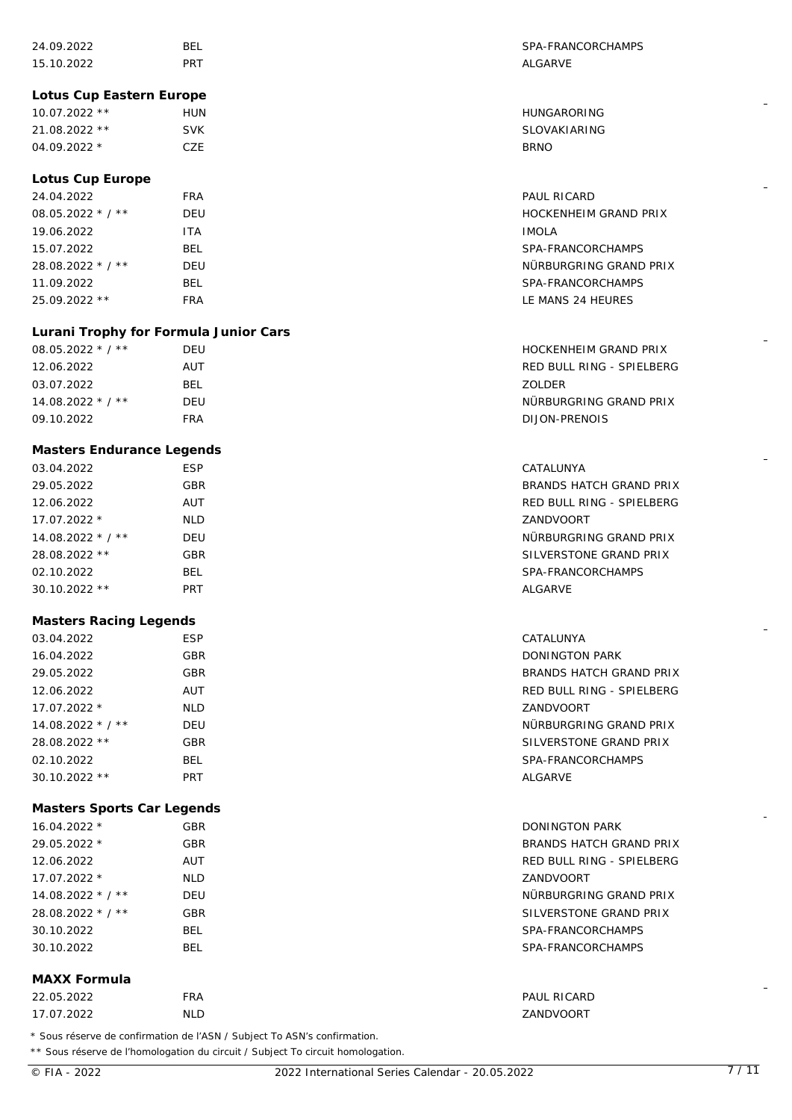| 24.09.2022                                                               | BEL        | SPA-FRANCORCHAMPS            |
|--------------------------------------------------------------------------|------------|------------------------------|
| 15.10.2022                                                               | <b>PRT</b> | ALGARVE                      |
|                                                                          |            |                              |
| Lotus Cup Eastern Europe                                                 |            |                              |
| 10.07.2022 **                                                            | <b>HUN</b> | HUNGARORING                  |
| 21.08.2022 **                                                            | <b>SVK</b> | SLOVAKIARING                 |
| 04.09.2022 *                                                             | CZE        | <b>BRNO</b>                  |
|                                                                          |            |                              |
| Lotus Cup Europe                                                         |            |                              |
| 24.04.2022                                                               | <b>FRA</b> | PAUL RICARD                  |
| 08.05.2022 * / **                                                        | DEU        | HOCKENHEIM GRAND PRIX        |
| 19.06.2022                                                               | <b>ITA</b> | <b>IMOLA</b>                 |
| 15.07.2022                                                               | <b>BEL</b> | SPA-FRANCORCHAMPS            |
| 28.08.2022 * / **                                                        | DEU        | NÜRBURGRING GRAND PRIX       |
| 11.09.2022                                                               | <b>BEL</b> | SPA-FRANCORCHAMPS            |
| 25.09.2022 **                                                            | <b>FRA</b> | LE MANS 24 HEURES            |
|                                                                          |            |                              |
| Lurani Trophy for Formula Junior Cars                                    |            |                              |
| 08.05.2022 * / **                                                        | <b>DEU</b> | <b>HOCKENHEIM GRAND PRIX</b> |
| 12.06.2022                                                               | AUT        | RED BULL RING - SPIELBERG    |
| 03.07.2022                                                               | <b>BEL</b> | ZOLDER                       |
| 14.08.2022 * / **                                                        | <b>DEU</b> | NÜRBURGRING GRAND PRIX       |
| 09.10.2022                                                               | <b>FRA</b> | DIJON-PRENOIS                |
| Masters Endurance Legends                                                |            |                              |
| 03.04.2022                                                               | <b>ESP</b> | CATALUNYA                    |
| 29.05.2022                                                               | GBR        | BRANDS HATCH GRAND PRIX      |
| 12.06.2022                                                               | AUT        | RED BULL RING - SPIELBERG    |
| 17.07.2022 *                                                             | <b>NLD</b> | ZANDVOORT                    |
| 14.08.2022 * / **                                                        | DEU        | NÜRBURGRING GRAND PRIX       |
| 28.08.2022 **                                                            | GBR        | SILVERSTONE GRAND PRIX       |
| 02.10.2022                                                               | BEL        | SPA-FRANCORCHAMPS            |
| 30.10.2022 **                                                            | PRT        | ALGARVE                      |
|                                                                          |            |                              |
| Masters Racing Legends                                                   |            |                              |
| 03.04.2022                                                               | <b>ESP</b> | CATALUNYA                    |
| 16.04.2022                                                               | GBR        | DONINGTON PARK               |
| 29.05.2022                                                               | GBR        | BRANDS HATCH GRAND PRIX      |
| 12.06.2022                                                               | AUT        | RED BULL RING - SPIELBERG    |
| 17.07.2022 *                                                             | <b>NLD</b> | ZANDVOORT                    |
| 14.08.2022 * / **                                                        | DEU        | NÜRBURGRING GRAND PRIX       |
| 28.08.2022 **                                                            | <b>GBR</b> | SILVERSTONE GRAND PRIX       |
| 02.10.2022                                                               | <b>BEL</b> | SPA-FRANCORCHAMPS            |
| 30.10.2022 **                                                            | <b>PRT</b> | ALGARVE                      |
| Masters Sports Car Legends                                               |            |                              |
| 16.04.2022 *                                                             | GBR        | <b>DONINGTON PARK</b>        |
| 29.05.2022 *                                                             | <b>GBR</b> | BRANDS HATCH GRAND PRIX      |
| 12.06.2022                                                               | AUT        | RED BULL RING - SPIELBERG    |
| 17.07.2022 *                                                             | <b>NLD</b> | ZANDVOORT                    |
| $14.08.2022 * 7 *$                                                       | DEU        | NÜRBURGRING GRAND PRIX       |
| 28.08.2022 * / **                                                        | <b>GBR</b> | SILVERSTONE GRAND PRIX       |
| 30.10.2022                                                               | <b>BEL</b> | SPA-FRANCORCHAMPS            |
| 30.10.2022                                                               | <b>BEL</b> | SPA-FRANCORCHAMPS            |
|                                                                          |            |                              |
| MAXX Formula                                                             |            |                              |
| 22.05.2022                                                               | <b>FRA</b> | PAUL RICARD                  |
| 17.07.2022                                                               | <b>NLD</b> | ZANDVOORT                    |
| * Sous réserve de confirmation de l'ASN / Subject To ASN's confirmation. |            |                              |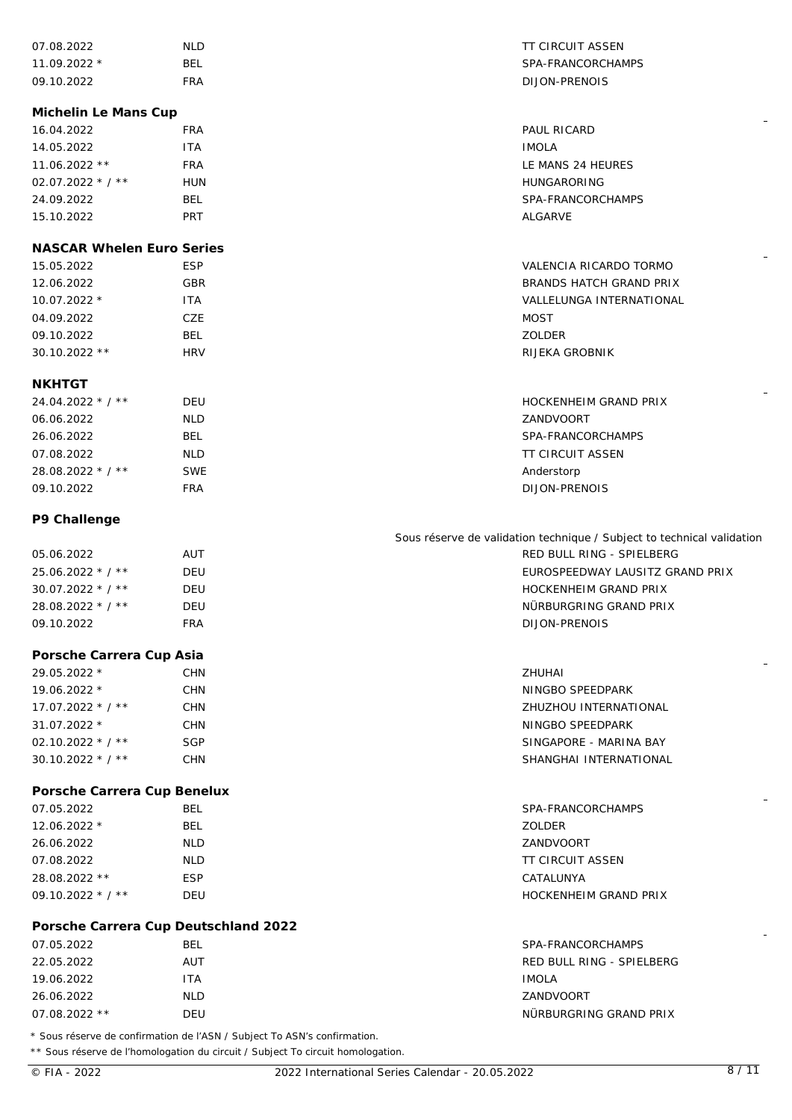| 07.08.2022                           | <b>NLD</b>                                                              | <b>TT CIRCUIT ASSEN</b>                                                |
|--------------------------------------|-------------------------------------------------------------------------|------------------------------------------------------------------------|
| 11.09.2022 *                         | <b>BEL</b>                                                              | SPA-FRANCORCHAMPS                                                      |
| 09.10.2022                           | <b>FRA</b>                                                              | DIJON-PRENOIS                                                          |
|                                      |                                                                         |                                                                        |
| Michelin Le Mans Cup                 |                                                                         |                                                                        |
| 16.04.2022                           | <b>FRA</b>                                                              | PAUL RICARD                                                            |
| 14.05.2022                           | <b>ITA</b>                                                              | <b>IMOLA</b>                                                           |
| 11.06.2022 **                        | <b>FRA</b>                                                              | LE MANS 24 HEURES                                                      |
| 02.07.2022 $*/**$                    | <b>HUN</b>                                                              | <b>HUNGARORING</b>                                                     |
| 24.09.2022                           | <b>BEL</b>                                                              | SPA-FRANCORCHAMPS                                                      |
| 15.10.2022                           | PRT                                                                     | <b>ALGARVE</b>                                                         |
| <b>NASCAR Whelen Euro Series</b>     |                                                                         |                                                                        |
| 15.05.2022                           | <b>ESP</b>                                                              | VALENCIA RICARDO TORMO                                                 |
| 12.06.2022                           | <b>GBR</b>                                                              | BRANDS HATCH GRAND PRIX                                                |
| 10.07.2022 *                         | <b>ITA</b>                                                              | VALLELUNGA INTERNATIONAL                                               |
| 04.09.2022                           | CZE                                                                     | <b>MOST</b>                                                            |
| 09.10.2022                           | <b>BEL</b>                                                              | ZOLDER                                                                 |
| 30.10.2022 **                        | <b>HRV</b>                                                              | RIJEKA GROBNIK                                                         |
|                                      |                                                                         |                                                                        |
| <b>NKHTGT</b>                        |                                                                         |                                                                        |
| $24.04.2022 * 7 *$                   | <b>DEU</b>                                                              | HOCKENHEIM GRAND PRIX                                                  |
| 06.06.2022                           | <b>NLD</b>                                                              | ZANDVOORT                                                              |
| 26.06.2022                           | <b>BEL</b>                                                              | SPA-FRANCORCHAMPS                                                      |
| 07.08.2022                           | <b>NLD</b>                                                              | <b>TT CIRCUIT ASSEN</b>                                                |
| 28.08.2022 * / **                    | <b>SWE</b>                                                              | Anderstorp                                                             |
| 09.10.2022                           | <b>FRA</b>                                                              | DIJON-PRENOIS                                                          |
| P9 Challenge                         |                                                                         |                                                                        |
|                                      |                                                                         | Sous réserve de validation technique / Subject to technical validation |
| 05.06.2022                           | AUT                                                                     | RED BULL RING - SPIELBERG                                              |
| 25.06.2022 * / **                    | DEU                                                                     | EUROSPEEDWAY LAUSITZ GRAND PRIX                                        |
| 30.07.2022 * / **                    | <b>DEU</b>                                                              | <b>HOCKENHEIM GRAND PRIX</b>                                           |
| 28.08.2022 * / **                    | DEU                                                                     | NÜRBURGRING GRAND PRIX                                                 |
| 09.10.2022                           | <b>FRA</b>                                                              | <b>DIJON-PRENOIS</b>                                                   |
|                                      |                                                                         |                                                                        |
| Porsche Carrera Cup Asia             |                                                                         |                                                                        |
| 29.05.2022 *                         | <b>CHN</b>                                                              | <b>ZHUHAI</b>                                                          |
| 19.06.2022 *                         | <b>CHN</b>                                                              | NINGBO SPEEDPARK                                                       |
| 17.07.2022 * / **                    | <b>CHN</b>                                                              | ZHUZHOU INTERNATIONAL                                                  |
| 31.07.2022 *                         | <b>CHN</b>                                                              | NINGBO SPEEDPARK                                                       |
| 02.10.2022 $*$ / $**$                | <b>SGP</b>                                                              | SINGAPORE - MARINA BAY                                                 |
| 30.10.2022 * / **                    | <b>CHN</b>                                                              | SHANGHAI INTERNATIONAL                                                 |
| Porsche Carrera Cup Benelux          |                                                                         |                                                                        |
| 07.05.2022                           | <b>BEL</b>                                                              | SPA-FRANCORCHAMPS                                                      |
| 12.06.2022 *                         | <b>BEL</b>                                                              | ZOLDER                                                                 |
| 26.06.2022                           | <b>NLD</b>                                                              | ZANDVOORT                                                              |
| 07.08.2022                           | <b>NLD</b>                                                              | <b>TT CIRCUIT ASSEN</b>                                                |
| 28.08.2022 **                        | <b>ESP</b>                                                              | CATALUNYA                                                              |
| 09.10.2022 * / **                    | <b>DEU</b>                                                              | HOCKENHEIM GRAND PRIX                                                  |
|                                      |                                                                         |                                                                        |
| Porsche Carrera Cup Deutschland 2022 |                                                                         |                                                                        |
| 07.05.2022                           | <b>BEL</b>                                                              | SPA-FRANCORCHAMPS                                                      |
| 22.05.2022                           | AUT                                                                     | RED BULL RING - SPIELBERG                                              |
| 19.06.2022                           | <b>ITA</b>                                                              | <b>IMOLA</b>                                                           |
| 26.06.2022                           | <b>NLD</b>                                                              | ZANDVOORT                                                              |
| 07.08.2022 **                        | DEU                                                                     | NÜRBURGRING GRAND PRIX                                                 |
|                                      | * Sous réserve de confirmation de l'ASN / Subject To ASN's confirmation |                                                                        |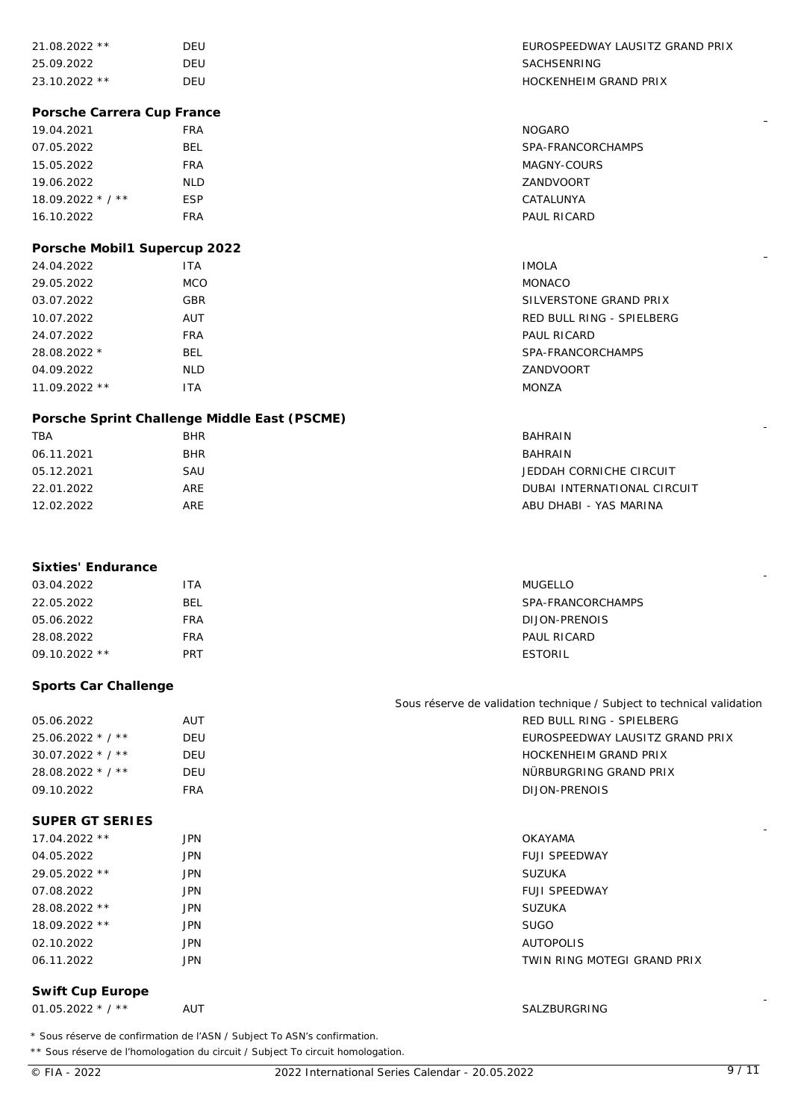| 21.08.2022 **                | DEU                                                                                                                                                         | EUROSPEEDWAY LAUSITZ GRAND PRIX                                        |
|------------------------------|-------------------------------------------------------------------------------------------------------------------------------------------------------------|------------------------------------------------------------------------|
| 25.09.2022                   | DEU                                                                                                                                                         | SACHSENRING                                                            |
| 23.10.2022 **                | DEU                                                                                                                                                         | <b>HOCKENHEIM GRAND PRIX</b>                                           |
| Porsche Carrera Cup France   |                                                                                                                                                             |                                                                        |
| 19.04.2021                   | <b>FRA</b>                                                                                                                                                  | <b>NOGARO</b>                                                          |
| 07.05.2022                   | BEL                                                                                                                                                         | SPA-FRANCORCHAMPS                                                      |
| 15.05.2022                   | <b>FRA</b>                                                                                                                                                  | MAGNY-COURS                                                            |
| 19.06.2022                   | <b>NLD</b>                                                                                                                                                  | ZANDVOORT                                                              |
| 18.09.2022 * / **            | <b>ESP</b>                                                                                                                                                  | CATALUNYA                                                              |
| 16.10.2022                   | <b>FRA</b>                                                                                                                                                  | PAUL RICARD                                                            |
|                              |                                                                                                                                                             |                                                                        |
| Porsche Mobil1 Supercup 2022 |                                                                                                                                                             |                                                                        |
| 24.04.2022                   | <b>ITA</b>                                                                                                                                                  | <b>IMOLA</b>                                                           |
| 29.05.2022                   | <b>MCO</b>                                                                                                                                                  | <b>MONACO</b>                                                          |
| 03.07.2022                   | <b>GBR</b>                                                                                                                                                  | SILVERSTONE GRAND PRIX                                                 |
| 10.07.2022                   | AUT                                                                                                                                                         | RED BULL RING - SPIELBERG                                              |
| 24.07.2022                   | <b>FRA</b>                                                                                                                                                  | PAUL RICARD                                                            |
| 28.08.2022 *                 | <b>BEL</b>                                                                                                                                                  | SPA-FRANCORCHAMPS                                                      |
| 04.09.2022                   | <b>NLD</b>                                                                                                                                                  | ZANDVOORT                                                              |
| 11.09.2022 **                | <b>ITA</b>                                                                                                                                                  | <b>MONZA</b>                                                           |
|                              |                                                                                                                                                             |                                                                        |
|                              | Porsche Sprint Challenge Middle East (PSCME)                                                                                                                |                                                                        |
| <b>TBA</b>                   | <b>BHR</b>                                                                                                                                                  | BAHRAIN                                                                |
| 06.11.2021                   | <b>BHR</b>                                                                                                                                                  | BAHRAIN                                                                |
| 05.12.2021                   | SAU                                                                                                                                                         | JEDDAH CORNICHE CIRCUIT                                                |
| 22.01.2022                   | ARE                                                                                                                                                         | DUBAI INTERNATIONAL CIRCUIT                                            |
| 12.02.2022                   | ARE                                                                                                                                                         | ABU DHABI - YAS MARINA                                                 |
|                              |                                                                                                                                                             |                                                                        |
|                              |                                                                                                                                                             |                                                                        |
| Sixties' Endurance           |                                                                                                                                                             |                                                                        |
| 03.04.2022                   | <b>ITA</b>                                                                                                                                                  | <b>MUGELLO</b>                                                         |
| 22.05.2022                   | <b>BEL</b>                                                                                                                                                  | SPA-FRANCORCHAMPS                                                      |
| 05.06.2022                   | <b>FRA</b>                                                                                                                                                  | DIJON-PRENOIS                                                          |
| 28.08.2022                   | <b>FRA</b>                                                                                                                                                  | PAUL RICARD                                                            |
| 09.10.2022 **                | <b>PRT</b>                                                                                                                                                  | <b>ESTORIL</b>                                                         |
| Sports Car Challenge         |                                                                                                                                                             |                                                                        |
|                              |                                                                                                                                                             | Sous réserve de validation technique / Subject to technical validation |
| 05.06.2022                   | AUT                                                                                                                                                         | RED BULL RING - SPIELBERG                                              |
| 25.06.2022 * / **            | DEU                                                                                                                                                         | EUROSPEEDWAY LAUSITZ GRAND PRIX                                        |
| 30.07.2022 * / **            | DEU                                                                                                                                                         | HOCKENHEIM GRAND PRIX                                                  |
| 28.08.2022 * / **            | DEU                                                                                                                                                         | NÜRBURGRING GRAND PRIX                                                 |
| 09.10.2022                   | <b>FRA</b>                                                                                                                                                  | DIJON-PRENOIS                                                          |
| SUPER GT SERIES              |                                                                                                                                                             |                                                                        |
| 17.04.2022 **                | <b>JPN</b>                                                                                                                                                  | OKAYAMA                                                                |
| 04.05.2022                   | <b>JPN</b>                                                                                                                                                  | <b>FUJI SPEEDWAY</b>                                                   |
| 29.05.2022 **                | <b>JPN</b>                                                                                                                                                  | <b>SUZUKA</b>                                                          |
|                              |                                                                                                                                                             |                                                                        |
| 07.08.2022                   | <b>JPN</b>                                                                                                                                                  | <b>FUJI SPEEDWAY</b>                                                   |
| 28.08.2022 **                | <b>JPN</b>                                                                                                                                                  | <b>SUZUKA</b>                                                          |
| 18.09.2022 **                | <b>JPN</b>                                                                                                                                                  | <b>SUGO</b>                                                            |
| 02.10.2022                   | <b>JPN</b>                                                                                                                                                  | <b>AUTOPOLIS</b>                                                       |
| 06.11.2022                   | <b>JPN</b>                                                                                                                                                  | TWIN RING MOTEGI GRAND PRIX                                            |
| Swift Cup Europe             |                                                                                                                                                             |                                                                        |
| 01.05.2022 $*$ / **          | AUT                                                                                                                                                         | SALZBURGRING                                                           |
|                              | * Sous réserve de confirmation de l'ASN / Subject To ASN's confirmation.<br>** Sous réserve de l'homologation du circuit / Subject To circuit homologation. |                                                                        |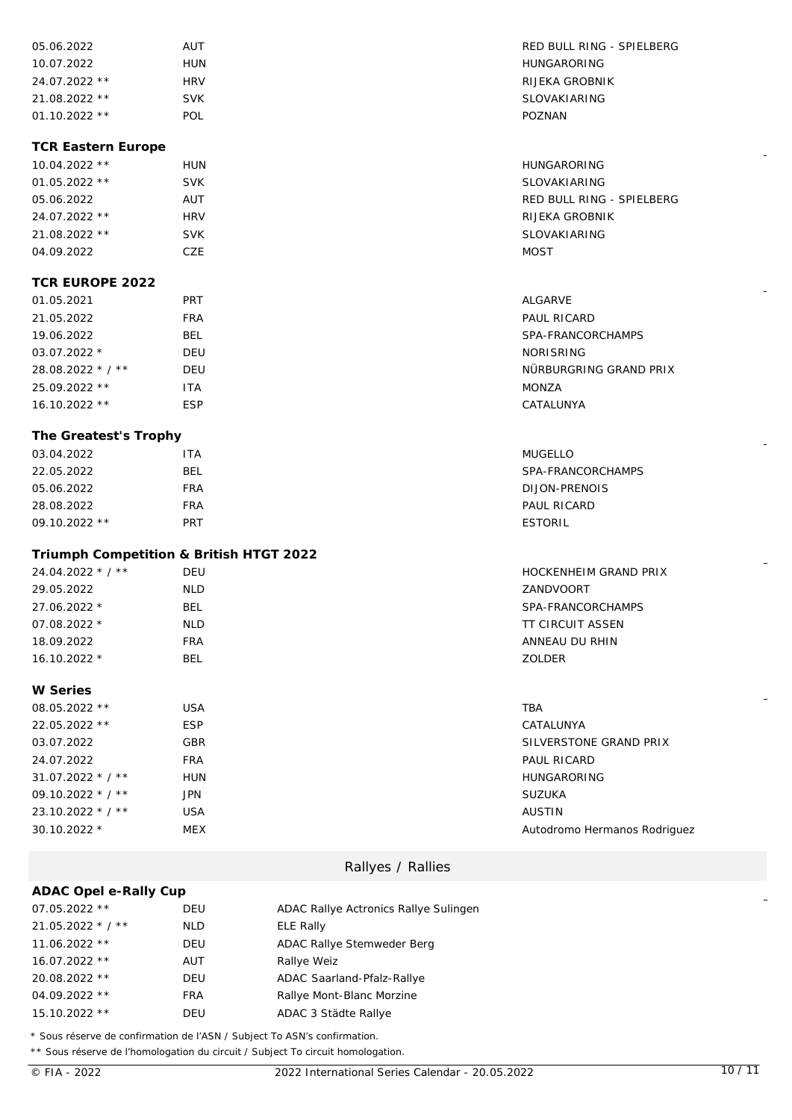| 05.06.2022      | AUT        | RED BULL R |
|-----------------|------------|------------|
| 10.07.2022      | HUN        | HUNGARORI  |
| $24.07.2022$ ** | <b>HRV</b> | RIJEKA GRO |
| $21.08.2022$ ** | <b>SVK</b> | SLOVAKIAR  |
| $01.10.2022$ ** | POL        | POZNAN     |

#### **TCR Eastern Europe**

| $10.04.2022$ ** | HUN        | HUNGAR         |
|-----------------|------------|----------------|
| $01.05.2022$ ** | <b>SVK</b> | SLOVAKI        |
| 05.06.2022      | AUT        | RED BUL        |
| 24.07.2022 **   | <b>HRV</b> | RIJEKA C       |
| $21.08.2022$ ** | <b>SVK</b> | <b>SLOVAKI</b> |
| 04.09.2022      | CZE        | MOST           |

#### **TCR EUROPE 2022**

| 01.05.2021         | <b>PRT</b> | ALGARVE          |
|--------------------|------------|------------------|
| 21.05.2022         | FRA        | PAUL RICARD      |
| 19.06.2022         | BEL        | SPA-FRANCOR      |
| $03.07.2022*$      | DEU        | <b>NORISRING</b> |
| $28.08.2022 * 7 *$ | DEU        | NÜRBURGRING      |
| $25.09.2022$ **    | ITA        | MONZA            |
| $16.10.2022**$     | <b>ESP</b> | CATALUNYA        |

#### **The Greatest's Trophy**

| 03.04.2022      | ITA | <b>MUGELLO</b>    |
|-----------------|-----|-------------------|
| 22.05.2022      | BEL | SPA-FRANCORCHAMPS |
| 05.06.2022      | FRA | DIJON-PRENOIS     |
| 28.08.2022      | FRA | PAUL RICARD       |
| $09.10.2022$ ** | PRT | <b>ESTORIL</b>    |

## **Triumph Competition & British HTGT 2022**

| $24.04.2022 * 7 *$ | DEU        | HOCKENHEIM GRAND PRIX |
|--------------------|------------|-----------------------|
| 29.05.2022         | <b>NLD</b> | ZANDVOORT             |
| 27.06.2022 *       | BEL        | SPA-FRANCORCHAMPS     |
| $07.08.2022*$      | <b>NLD</b> | TT CIRCUIT ASSEN      |
| 18.09.2022         | <b>FRA</b> | ANNEAU DU RHIN        |
| $16.10.2022*$      | BEL        | <b>ZOLDER</b>         |

### **W Series**

| 08.05.2022 **      | <b>USA</b> | TBA                          |
|--------------------|------------|------------------------------|
| 22.05.2022 **      | <b>ESP</b> | CATALUNYA                    |
| 03.07.2022         | <b>GBR</b> | SILVERSTONE GRAND PRIX       |
| 24.07.2022         | <b>FRA</b> | PAUL RICARD                  |
| $31.07.2022 * 7 *$ | <b>HUN</b> | <b>HUNGARORING</b>           |
| $09.10.2022 * 7 *$ | JPN.       | <b>SUZUKA</b>                |
| $23.10.2022 * 7 *$ | <b>USA</b> | <b>AUSTIN</b>                |
| $30.10.2022*$      | <b>MEX</b> | Autodromo Hermanos Rodriguez |

## Rallyes / Rallies

| ADAC Opel e-Rally Cup |            |                                       |
|-----------------------|------------|---------------------------------------|
| 07.05.2022 **         | <b>DEU</b> | ADAC Rallye Actronics Rallye Sulingen |
| $21.05.2022 * 7 *$    | <b>NLD</b> | ELE Rally                             |
| $11.06.2022$ **       | <b>DEU</b> | ADAC Rallye Stemweder Berg            |
| 16.07.2022 **         | AUT        | Rallye Weiz                           |
| 20.08.2022 **         | <b>DEU</b> | ADAC Saarland-Pfalz-Rallye            |
| 04.09.2022 **         | <b>FRA</b> | Rallye Mont-Blanc Morzine             |
| 15.10.2022 **         | DEU        | ADAC 3 Städte Rallye                  |

\* Sous réserve de confirmation de l'ASN / Subject To ASN's confirmation.

\*\* Sous réserve de l'homologation du circuit / Subject To circuit homologation.

RED BULL RING - SPIELBERG **HUNGARORING** RIJEKA GROBNIK SLOVAKIARING

N<br>10.04.2022 \*\* HUNGARORING K SLOVAKIARING RED BULL RING - SPIELBERG 24.07.2022 \*\* HRV RIJEKA GROBNIK SLOVAKIARING

PAUL RICARD SPA-FRANCORCHAMPS NORISRING NÜRBURGRING GRAND PRIX